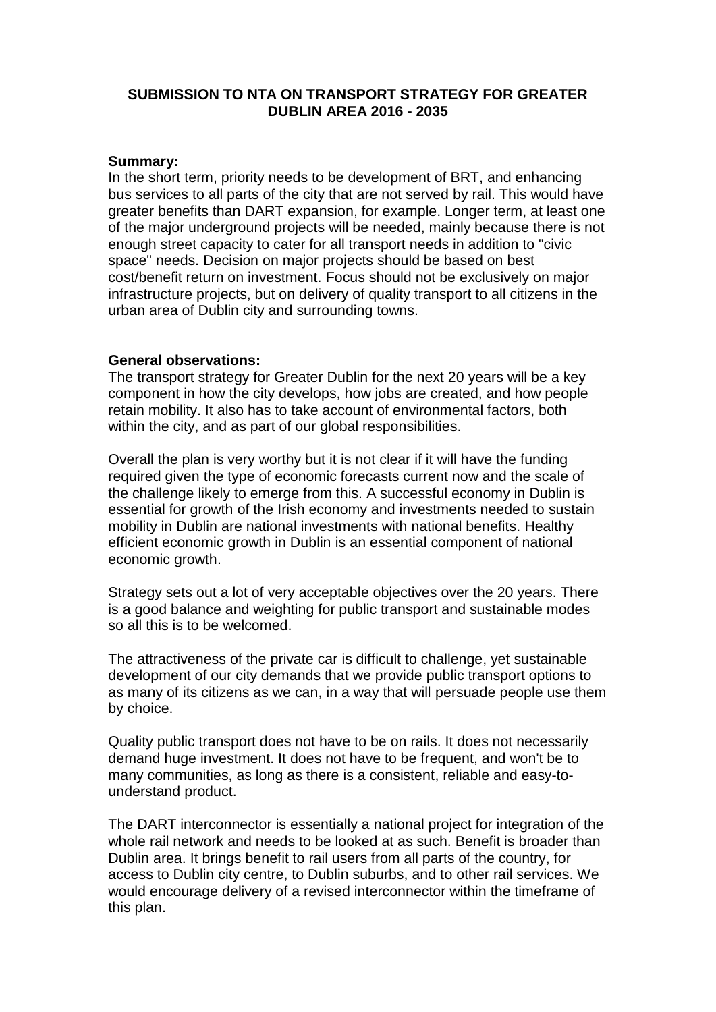# **SUBMISSION TO NTA ON TRANSPORT STRATEGY FOR GREATER DUBLIN AREA 2016 - 2035**

#### **Summary:**

In the short term, priority needs to be development of BRT, and enhancing bus services to all parts of the city that are not served by rail. This would have greater benefits than DART expansion, for example. Longer term, at least one of the major underground projects will be needed, mainly because there is not enough street capacity to cater for all transport needs in addition to "civic space" needs. Decision on major projects should be based on best cost/benefit return on investment. Focus should not be exclusively on major infrastructure projects, but on delivery of quality transport to all citizens in the urban area of Dublin city and surrounding towns.

## **General observations:**

The transport strategy for Greater Dublin for the next 20 years will be a key component in how the city develops, how jobs are created, and how people retain mobility. It also has to take account of environmental factors, both within the city, and as part of our global responsibilities.

Overall the plan is very worthy but it is not clear if it will have the funding required given the type of economic forecasts current now and the scale of the challenge likely to emerge from this. A successful economy in Dublin is essential for growth of the Irish economy and investments needed to sustain mobility in Dublin are national investments with national benefits. Healthy efficient economic growth in Dublin is an essential component of national economic growth.

Strategy sets out a lot of very acceptable objectives over the 20 years. There is a good balance and weighting for public transport and sustainable modes so all this is to be welcomed.

The attractiveness of the private car is difficult to challenge, yet sustainable development of our city demands that we provide public transport options to as many of its citizens as we can, in a way that will persuade people use them by choice.

Quality public transport does not have to be on rails. It does not necessarily demand huge investment. It does not have to be frequent, and won't be to many communities, as long as there is a consistent, reliable and easy-tounderstand product.

The DART interconnector is essentially a national project for integration of the whole rail network and needs to be looked at as such. Benefit is broader than Dublin area. It brings benefit to rail users from all parts of the country, for access to Dublin city centre, to Dublin suburbs, and to other rail services. We would encourage delivery of a revised interconnector within the timeframe of this plan.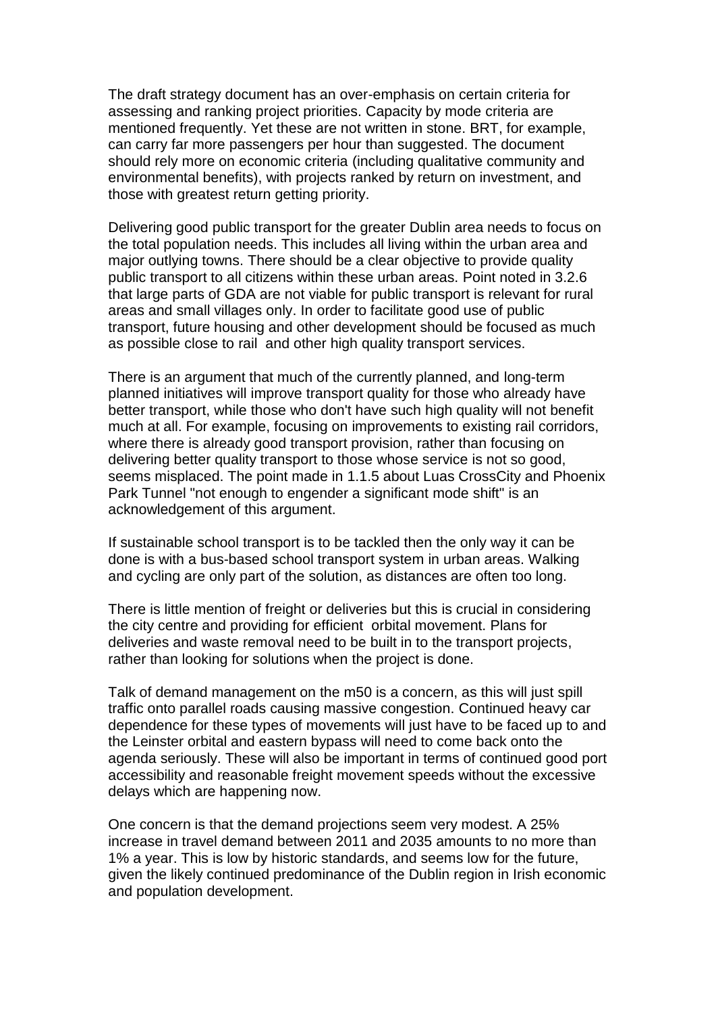The draft strategy document has an over-emphasis on certain criteria for assessing and ranking project priorities. Capacity by mode criteria are mentioned frequently. Yet these are not written in stone. BRT, for example, can carry far more passengers per hour than suggested. The document should rely more on economic criteria (including qualitative community and environmental benefits), with projects ranked by return on investment, and those with greatest return getting priority.

Delivering good public transport for the greater Dublin area needs to focus on the total population needs. This includes all living within the urban area and major outlying towns. There should be a clear objective to provide quality public transport to all citizens within these urban areas. Point noted in 3.2.6 that large parts of GDA are not viable for public transport is relevant for rural areas and small villages only. In order to facilitate good use of public transport, future housing and other development should be focused as much as possible close to rail and other high quality transport services.

There is an argument that much of the currently planned, and long-term planned initiatives will improve transport quality for those who already have better transport, while those who don't have such high quality will not benefit much at all. For example, focusing on improvements to existing rail corridors, where there is already good transport provision, rather than focusing on delivering better quality transport to those whose service is not so good, seems misplaced. The point made in 1.1.5 about Luas CrossCity and Phoenix Park Tunnel "not enough to engender a significant mode shift" is an acknowledgement of this argument.

If sustainable school transport is to be tackled then the only way it can be done is with a bus-based school transport system in urban areas. Walking and cycling are only part of the solution, as distances are often too long.

There is little mention of freight or deliveries but this is crucial in considering the city centre and providing for efficient orbital movement. Plans for deliveries and waste removal need to be built in to the transport projects, rather than looking for solutions when the project is done.

Talk of demand management on the m50 is a concern, as this will just spill traffic onto parallel roads causing massive congestion. Continued heavy car dependence for these types of movements will just have to be faced up to and the Leinster orbital and eastern bypass will need to come back onto the agenda seriously. These will also be important in terms of continued good port accessibility and reasonable freight movement speeds without the excessive delays which are happening now.

One concern is that the demand projections seem very modest. A 25% increase in travel demand between 2011 and 2035 amounts to no more than 1% a year. This is low by historic standards, and seems low for the future, given the likely continued predominance of the Dublin region in Irish economic and population development.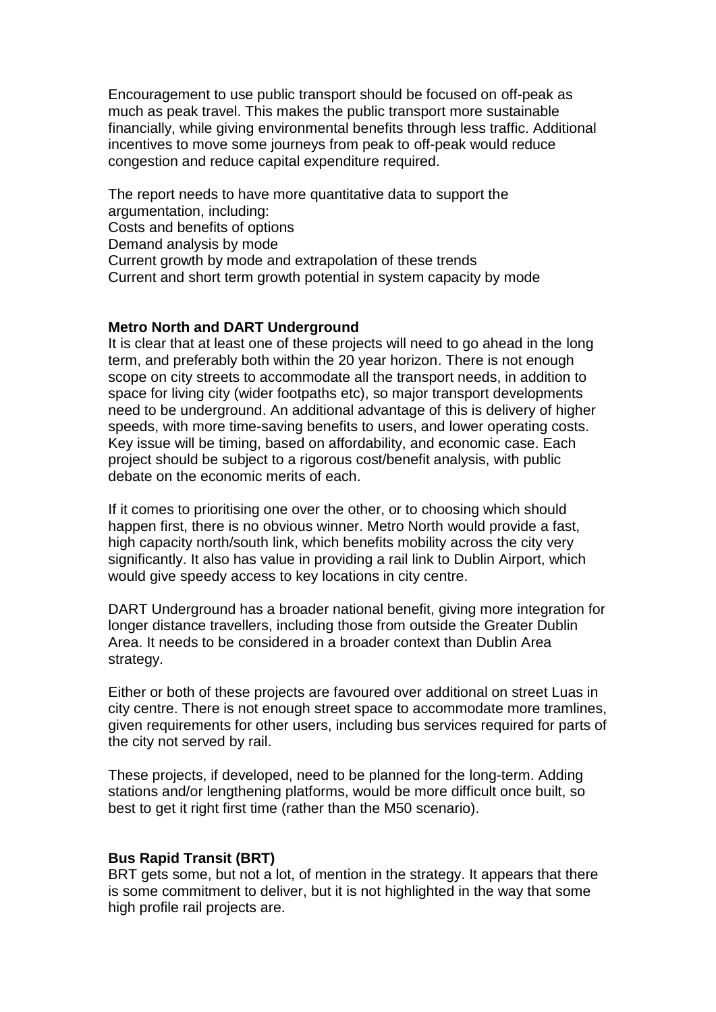Encouragement to use public transport should be focused on off-peak as much as peak travel. This makes the public transport more sustainable financially, while giving environmental benefits through less traffic. Additional incentives to move some journeys from peak to off-peak would reduce congestion and reduce capital expenditure required.

The report needs to have more quantitative data to support the argumentation, including: Costs and benefits of options Demand analysis by mode Current growth by mode and extrapolation of these trends Current and short term growth potential in system capacity by mode

#### **Metro North and DART Underground**

It is clear that at least one of these projects will need to go ahead in the long term, and preferably both within the 20 year horizon. There is not enough scope on city streets to accommodate all the transport needs, in addition to space for living city (wider footpaths etc), so major transport developments need to be underground. An additional advantage of this is delivery of higher speeds, with more time-saving benefits to users, and lower operating costs. Key issue will be timing, based on affordability, and economic case. Each project should be subject to a rigorous cost/benefit analysis, with public debate on the economic merits of each.

If it comes to prioritising one over the other, or to choosing which should happen first, there is no obvious winner. Metro North would provide a fast, high capacity north/south link, which benefits mobility across the city very significantly. It also has value in providing a rail link to Dublin Airport, which would give speedy access to key locations in city centre.

DART Underground has a broader national benefit, giving more integration for longer distance travellers, including those from outside the Greater Dublin Area. It needs to be considered in a broader context than Dublin Area strategy.

Either or both of these projects are favoured over additional on street Luas in city centre. There is not enough street space to accommodate more tramlines, given requirements for other users, including bus services required for parts of the city not served by rail.

These projects, if developed, need to be planned for the long-term. Adding stations and/or lengthening platforms, would be more difficult once built, so best to get it right first time (rather than the M50 scenario).

#### **Bus Rapid Transit (BRT)**

BRT gets some, but not a lot, of mention in the strategy. It appears that there is some commitment to deliver, but it is not highlighted in the way that some high profile rail projects are.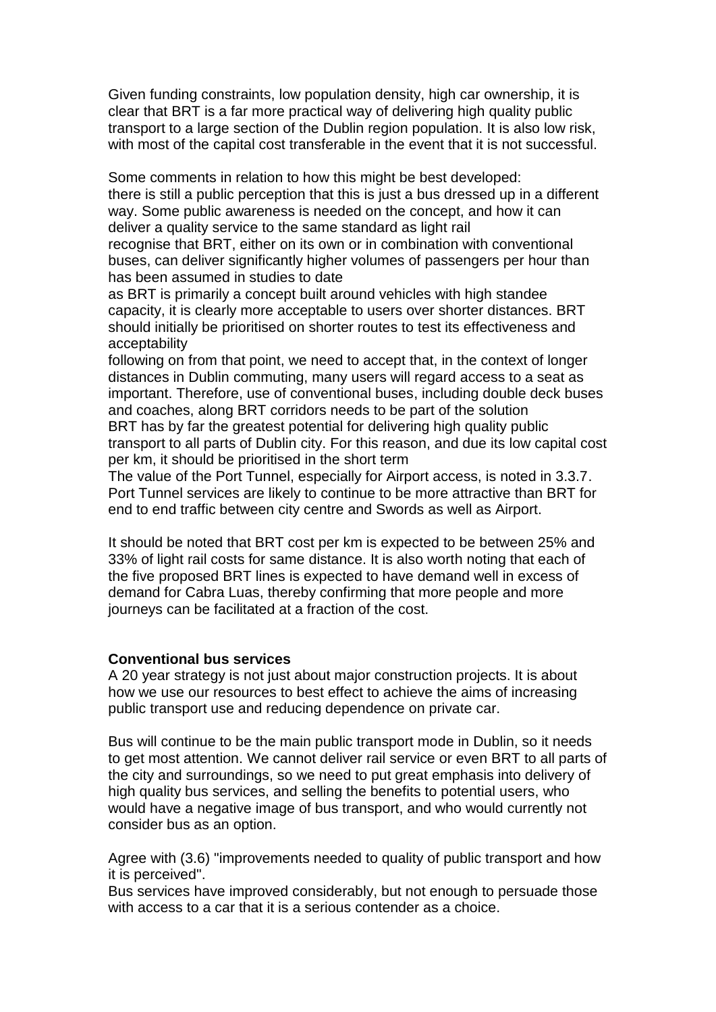Given funding constraints, low population density, high car ownership, it is clear that BRT is a far more practical way of delivering high quality public transport to a large section of the Dublin region population. It is also low risk, with most of the capital cost transferable in the event that it is not successful.

Some comments in relation to how this might be best developed: there is still a public perception that this is just a bus dressed up in a different way. Some public awareness is needed on the concept, and how it can deliver a quality service to the same standard as light rail

recognise that BRT, either on its own or in combination with conventional buses, can deliver significantly higher volumes of passengers per hour than has been assumed in studies to date

as BRT is primarily a concept built around vehicles with high standee capacity, it is clearly more acceptable to users over shorter distances. BRT should initially be prioritised on shorter routes to test its effectiveness and acceptability

following on from that point, we need to accept that, in the context of longer distances in Dublin commuting, many users will regard access to a seat as important. Therefore, use of conventional buses, including double deck buses and coaches, along BRT corridors needs to be part of the solution BRT has by far the greatest potential for delivering high quality public transport to all parts of Dublin city. For this reason, and due its low capital cost per km, it should be prioritised in the short term

The value of the Port Tunnel, especially for Airport access, is noted in 3.3.7. Port Tunnel services are likely to continue to be more attractive than BRT for end to end traffic between city centre and Swords as well as Airport.

It should be noted that BRT cost per km is expected to be between 25% and 33% of light rail costs for same distance. It is also worth noting that each of the five proposed BRT lines is expected to have demand well in excess of demand for Cabra Luas, thereby confirming that more people and more journeys can be facilitated at a fraction of the cost.

#### **Conventional bus services**

A 20 year strategy is not just about major construction projects. It is about how we use our resources to best effect to achieve the aims of increasing public transport use and reducing dependence on private car.

Bus will continue to be the main public transport mode in Dublin, so it needs to get most attention. We cannot deliver rail service or even BRT to all parts of the city and surroundings, so we need to put great emphasis into delivery of high quality bus services, and selling the benefits to potential users, who would have a negative image of bus transport, and who would currently not consider bus as an option.

Agree with (3.6) "improvements needed to quality of public transport and how it is perceived".

Bus services have improved considerably, but not enough to persuade those with access to a car that it is a serious contender as a choice.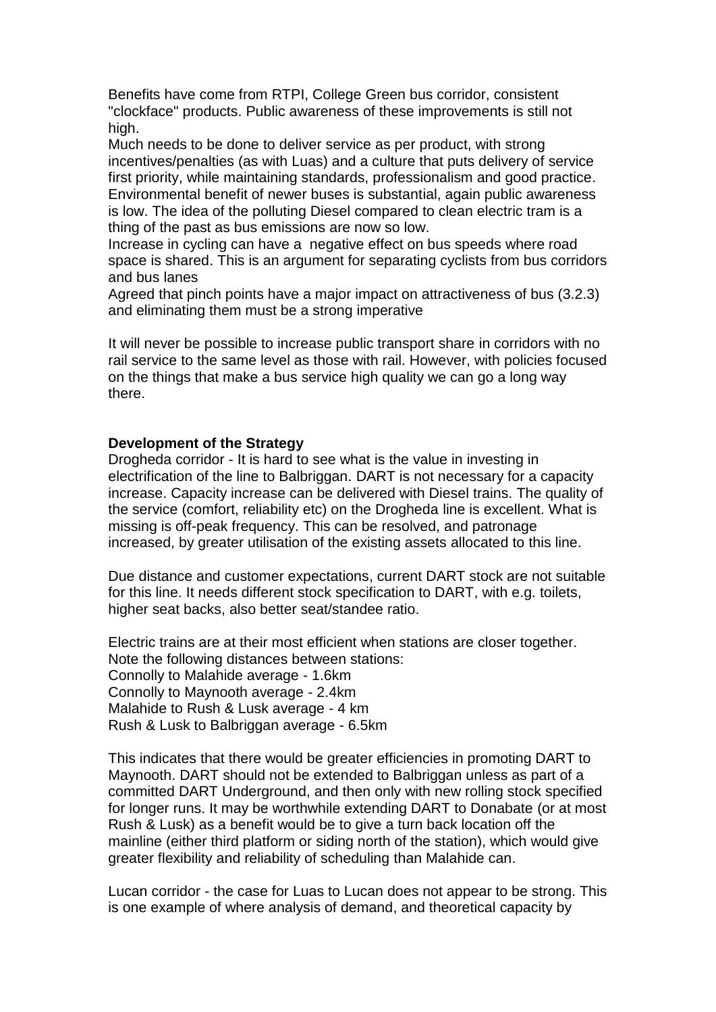Benefits have come from RTPI, College Green bus corridor, consistent "clockface" products. Public awareness of these improvements is still not high.

Much needs to be done to deliver service as per product, with strong incentives/penalties (as with Luas) and a culture that puts delivery of service first priority, while maintaining standards, professionalism and good practice. Environmental benefit of newer buses is substantial, again public awareness is low. The idea of the polluting Diesel compared to clean electric tram is a thing of the past as bus emissions are now so low.

Increase in cycling can have a negative effect on bus speeds where road space is shared. This is an argument for separating cyclists from bus corridors and bus lanes

Agreed that pinch points have a major impact on attractiveness of bus (3.2.3) and eliminating them must be a strong imperative

It will never be possible to increase public transport share in corridors with no rail service to the same level as those with rail. However, with policies focused on the things that make a bus service high quality we can go a long way there.

#### **Development of the Strategy**

Drogheda corridor - It is hard to see what is the value in investing in electrification of the line to Balbriggan. DART is not necessary for a capacity increase. Capacity increase can be delivered with Diesel trains. The quality of the service (comfort, reliability etc) on the Drogheda line is excellent. What is missing is off-peak frequency. This can be resolved, and patronage increased, by greater utilisation of the existing assets allocated to this line.

Due distance and customer expectations, current DART stock are not suitable for this line. It needs different stock specification to DART, with e.g. toilets, higher seat backs, also better seat/standee ratio.

Electric trains are at their most efficient when stations are closer together. Note the following distances between stations: Connolly to Malahide average - 1.6km Connolly to Maynooth average - 2.4km Malahide to Rush & Lusk average - 4 km Rush & Lusk to Balbriggan average - 6.5km

This indicates that there would be greater efficiencies in promoting DART to Maynooth. DART should not be extended to Balbriggan unless as part of a committed DART Underground, and then only with new rolling stock specified for longer runs. It may be worthwhile extending DART to Donabate (or at most Rush & Lusk) as a benefit would be to give a turn back location off the mainline (either third platform or siding north of the station), which would give greater flexibility and reliability of scheduling than Malahide can.

Lucan corridor - the case for Luas to Lucan does not appear to be strong. This is one example of where analysis of demand, and theoretical capacity by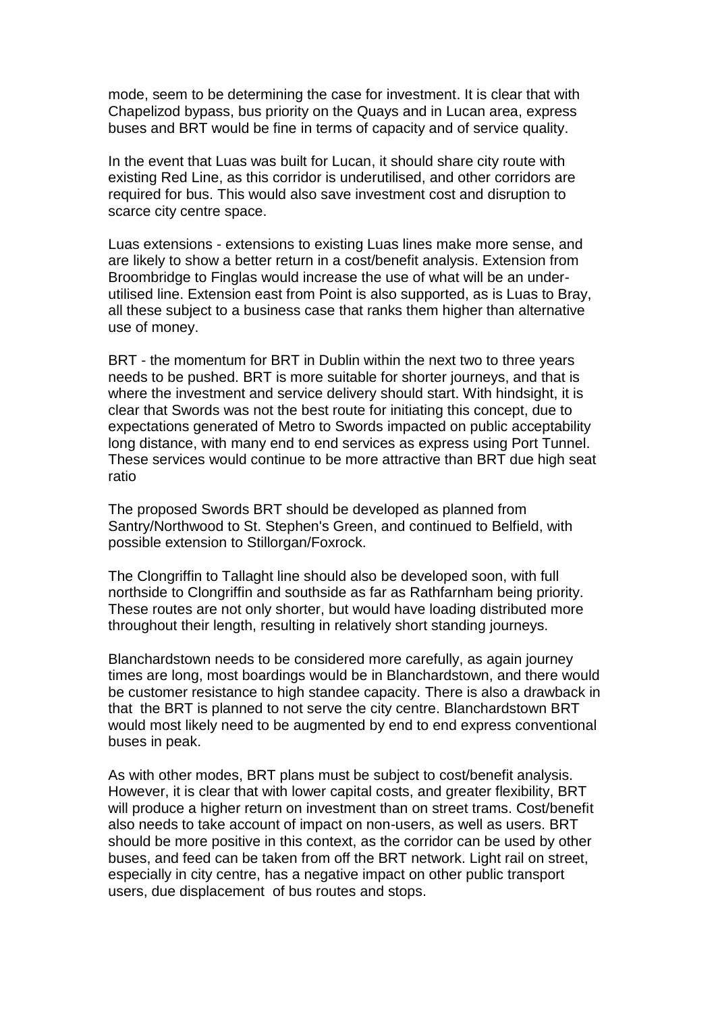mode, seem to be determining the case for investment. It is clear that with Chapelizod bypass, bus priority on the Quays and in Lucan area, express buses and BRT would be fine in terms of capacity and of service quality.

In the event that Luas was built for Lucan, it should share city route with existing Red Line, as this corridor is underutilised, and other corridors are required for bus. This would also save investment cost and disruption to scarce city centre space.

Luas extensions - extensions to existing Luas lines make more sense, and are likely to show a better return in a cost/benefit analysis. Extension from Broombridge to Finglas would increase the use of what will be an underutilised line. Extension east from Point is also supported, as is Luas to Bray, all these subject to a business case that ranks them higher than alternative use of money.

BRT - the momentum for BRT in Dublin within the next two to three years needs to be pushed. BRT is more suitable for shorter journeys, and that is where the investment and service delivery should start. With hindsight, it is clear that Swords was not the best route for initiating this concept, due to expectations generated of Metro to Swords impacted on public acceptability long distance, with many end to end services as express using Port Tunnel. These services would continue to be more attractive than BRT due high seat ratio

The proposed Swords BRT should be developed as planned from Santry/Northwood to St. Stephen's Green, and continued to Belfield, with possible extension to Stillorgan/Foxrock.

The Clongriffin to Tallaght line should also be developed soon, with full northside to Clongriffin and southside as far as Rathfarnham being priority. These routes are not only shorter, but would have loading distributed more throughout their length, resulting in relatively short standing journeys.

Blanchardstown needs to be considered more carefully, as again journey times are long, most boardings would be in Blanchardstown, and there would be customer resistance to high standee capacity. There is also a drawback in that the BRT is planned to not serve the city centre. Blanchardstown BRT would most likely need to be augmented by end to end express conventional buses in peak.

As with other modes, BRT plans must be subject to cost/benefit analysis. However, it is clear that with lower capital costs, and greater flexibility, BRT will produce a higher return on investment than on street trams. Cost/benefit also needs to take account of impact on non-users, as well as users. BRT should be more positive in this context, as the corridor can be used by other buses, and feed can be taken from off the BRT network. Light rail on street, especially in city centre, has a negative impact on other public transport users, due displacement of bus routes and stops.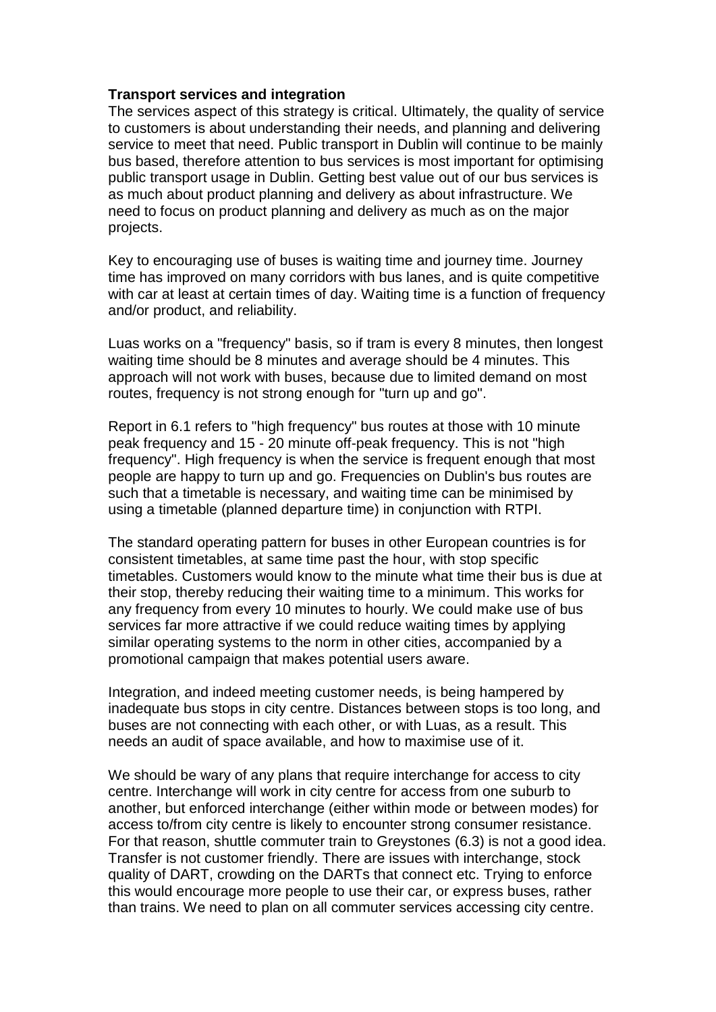### **Transport services and integration**

The services aspect of this strategy is critical. Ultimately, the quality of service to customers is about understanding their needs, and planning and delivering service to meet that need. Public transport in Dublin will continue to be mainly bus based, therefore attention to bus services is most important for optimising public transport usage in Dublin. Getting best value out of our bus services is as much about product planning and delivery as about infrastructure. We need to focus on product planning and delivery as much as on the major projects.

Key to encouraging use of buses is waiting time and journey time. Journey time has improved on many corridors with bus lanes, and is quite competitive with car at least at certain times of day. Waiting time is a function of frequency and/or product, and reliability.

Luas works on a "frequency" basis, so if tram is every 8 minutes, then longest waiting time should be 8 minutes and average should be 4 minutes. This approach will not work with buses, because due to limited demand on most routes, frequency is not strong enough for "turn up and go".

Report in 6.1 refers to "high frequency" bus routes at those with 10 minute peak frequency and 15 - 20 minute off-peak frequency. This is not "high frequency". High frequency is when the service is frequent enough that most people are happy to turn up and go. Frequencies on Dublin's bus routes are such that a timetable is necessary, and waiting time can be minimised by using a timetable (planned departure time) in conjunction with RTPI.

The standard operating pattern for buses in other European countries is for consistent timetables, at same time past the hour, with stop specific timetables. Customers would know to the minute what time their bus is due at their stop, thereby reducing their waiting time to a minimum. This works for any frequency from every 10 minutes to hourly. We could make use of bus services far more attractive if we could reduce waiting times by applying similar operating systems to the norm in other cities, accompanied by a promotional campaign that makes potential users aware.

Integration, and indeed meeting customer needs, is being hampered by inadequate bus stops in city centre. Distances between stops is too long, and buses are not connecting with each other, or with Luas, as a result. This needs an audit of space available, and how to maximise use of it.

We should be wary of any plans that require interchange for access to city centre. Interchange will work in city centre for access from one suburb to another, but enforced interchange (either within mode or between modes) for access to/from city centre is likely to encounter strong consumer resistance. For that reason, shuttle commuter train to Greystones (6.3) is not a good idea. Transfer is not customer friendly. There are issues with interchange, stock quality of DART, crowding on the DARTs that connect etc. Trying to enforce this would encourage more people to use their car, or express buses, rather than trains. We need to plan on all commuter services accessing city centre.